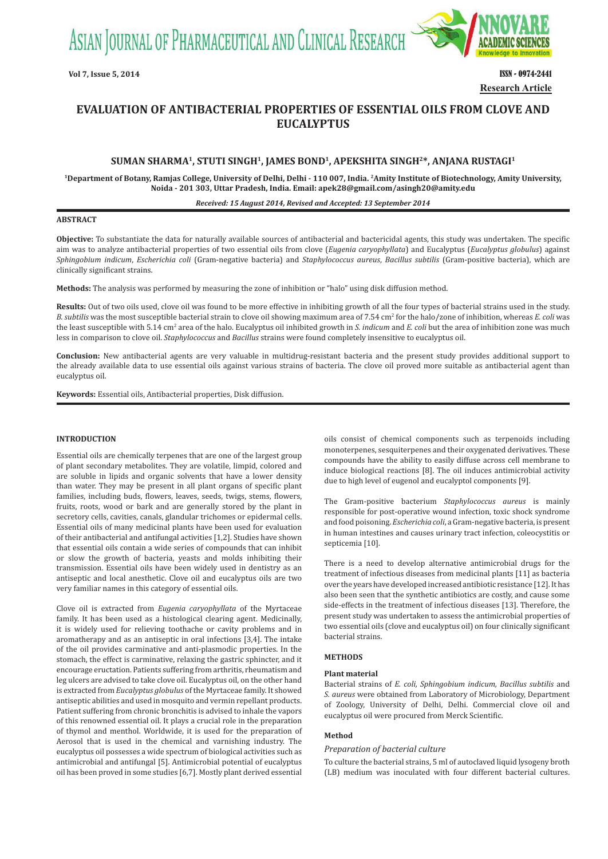ASIAN JOURNAL OF PHARMACEUTICAL AND CLINICAL RESEARCH



**Vol 7, Issue 5, 2014** ISSN - 0974-2441 **Research Article**

# **EVALUATION OF ANTIBACTERIAL PROPERTIES OF ESSENTIAL OILS FROM CLOVE AND EUCALYPTUS**

# **SUMAN SHARMA1, STUTI SINGH1, JAMES BOND1, APEKSHITA SINGH2\*, ANJANA RUSTAGI1**

**1Department of Botany, Ramjas College, University of Delhi, Delhi - 110 007, India. 2Amity Institute of Biotechnology, Amity University, Noida - 201 303, Uttar Pradesh, India. Email: apek28@gmail.com/asingh20@amity.edu**

#### *Received: 15 August 2014, Revised and Accepted: 13 September 2014*

### **ABSTRACT**

**Objective:** To substantiate the data for naturally available sources of antibacterial and bactericidal agents, this study was undertaken. The specific aim was to analyze antibacterial properties of two essential oils from clove (*Eugenia caryophyllata*) and Eucalyptus (*Eucalyptus globulus*) against *Sphingobium indicum*, *Escherichia coli* (Gram-negative bacteria) and *Staphylococcus aureus*, *Bacillus subtilis* (Gram-positive bacteria), which are clinically significant strains.

**Methods:** The analysis was performed by measuring the zone of inhibition or "halo" using disk diffusion method.

**Results:** Out of two oils used, clove oil was found to be more effective in inhibiting growth of all the four types of bacterial strains used in the study. B. subtilis was the most susceptible bacterial strain to clove oil showing maximum area of 7.54 cm<sup>2</sup> for the halo/zone of inhibition, whereas *E. coli* was the least susceptible with 5.14 cm<sup>2</sup> area of the halo. Eucalyptus oil inhibited growth in *S. indicum* and *E. coli* but the area of inhibition zone was much less in comparison to clove oil. *Staphylococcus* and *Bacillus* strains were found completely insensitive to eucalyptus oil.

**Conclusion:** New antibacterial agents are very valuable in multidrug-resistant bacteria and the present study provides additional support to the already available data to use essential oils against various strains of bacteria. The clove oil proved more suitable as antibacterial agent than eucalyptus oil.

**Keywords:** Essential oils, Antibacterial properties, Disk diffusion.

## **INTRODUCTION**

Essential oils are chemically terpenes that are one of the largest group of plant secondary metabolites. They are volatile, limpid, colored and are soluble in lipids and organic solvents that have a lower density than water. They may be present in all plant organs of specific plant families, including buds, flowers, leaves, seeds, twigs, stems, flowers, fruits, roots, wood or bark and are generally stored by the plant in secretory cells, cavities, canals, glandular trichomes or epidermal cells. Essential oils of many medicinal plants have been used for evaluation of their antibacterial and antifungal activities [1,2]. Studies have shown that essential oils contain a wide series of compounds that can inhibit or slow the growth of bacteria, yeasts and molds inhibiting their transmission. Essential oils have been widely used in dentistry as an antiseptic and local anesthetic. Clove oil and eucalyptus oils are two very familiar names in this category of essential oils.

Clove oil is extracted from *Eugenia caryophyllata* of the Myrtaceae family. It has been used as a histological clearing agent. Medicinally, it is widely used for relieving toothache or cavity problems and in aromatherapy and as an antiseptic in oral infections [3,4]. The intake of the oil provides carminative and anti-plasmodic properties. In the stomach, the effect is carminative, relaxing the gastric sphincter, and it encourage eructation. Patients suffering from arthritis, rheumatism and leg ulcers are advised to take clove oil. Eucalyptus oil, on the other hand is extracted from *Eucalyptus globulus* of the Myrtaceae family. It showed antiseptic abilities and used in mosquito and vermin repellant products. Patient suffering from chronic bronchitis is advised to inhale the vapors of this renowned essential oil. It plays a crucial role in the preparation of thymol and menthol. Worldwide, it is used for the preparation of Aerosol that is used in the chemical and varnishing industry. The eucalyptus oil possesses a wide spectrum of biological activities such as antimicrobial and antifungal [5]. Antimicrobial potential of eucalyptus oil has been proved in some studies [6,7]. Mostly plant derived essential

oils consist of chemical components such as terpenoids including monoterpenes, sesquiterpenes and their oxygenated derivatives. These compounds have the ability to easily diffuse across cell membrane to induce biological reactions [8]. The oil induces antimicrobial activity due to high level of eugenol and eucalyptol components [9].

The Gram-positive bacterium *Staphylococcus aureus* is mainly responsible for post-operative wound infection, toxic shock syndrome and food poisoning. *Escherichia coli*, a Gram-negative bacteria, is present in human intestines and causes urinary tract infection, coleocystitis or septicemia [10].

There is a need to develop alternative antimicrobial drugs for the treatment of infectious diseases from medicinal plants [11] as bacteria over the years have developed increased antibiotic resistance [12]. It has also been seen that the synthetic antibiotics are costly, and cause some side-effects in the treatment of infectious diseases [13]. Therefore, the present study was undertaken to assess the antimicrobial properties of two essential oils (clove and eucalyptus oil) on four clinically significant bacterial strains.

#### **METHODS**

### **Plant material**

Bacterial strains of *E. coli, Sphingobium indicum, Bacillus subtilis* and *S. aureus* were obtained from Laboratory of Microbiology, Department of Zoology, University of Delhi, Delhi. Commercial clove oil and eucalyptus oil were procured from Merck Scientific.

# **Method**

#### *Preparation of bacterial culture*

To culture the bacterial strains, 5 ml of autoclaved liquid lysogeny broth (LB) medium was inoculated with four different bacterial cultures.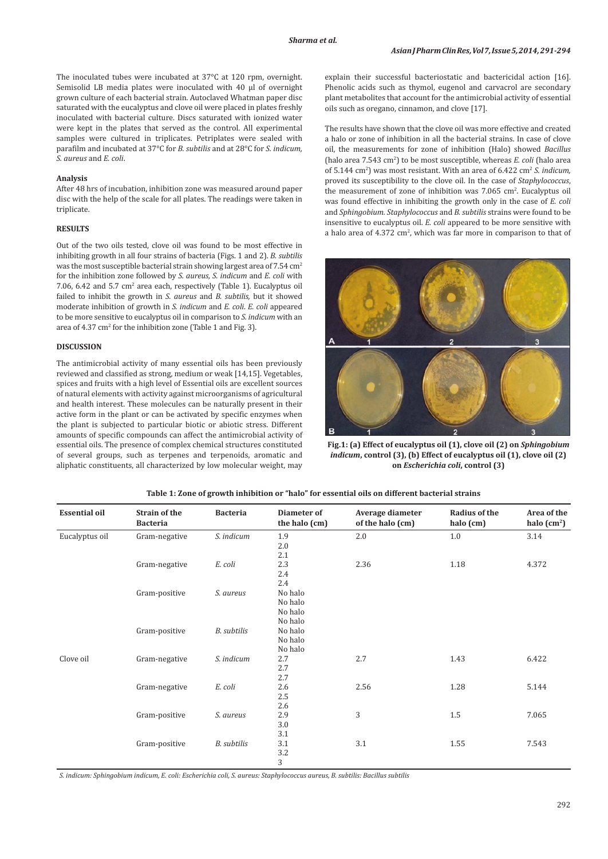The inoculated tubes were incubated at 37°C at 120 rpm, overnight. Semisolid LB media plates were inoculated with 40 μl of overnight grown culture of each bacterial strain. Autoclaved Whatman paper disc saturated with the eucalyptus and clove oil were placed in plates freshly inoculated with bacterial culture. Discs saturated with ionized water were kept in the plates that served as the control. All experimental samples were cultured in triplicates. Petriplates were sealed with parafilm and incubated at 37°C for *B. subtilis* and at 28°C for *S. indicum, S. aureus* and *E. coli*.

### **Analysis**

After 48 hrs of incubation, inhibition zone was measured around paper disc with the help of the scale for all plates. The readings were taken in triplicate.

## **RESULTS**

Out of the two oils tested, clove oil was found to be most effective in inhibiting growth in all four strains of bacteria (Figs. 1 and 2). *B. subtilis*  was the most susceptible bacterial strain showing largest area of 7.54 cm<sup>2</sup> for the inhibition zone followed by *S. aureus, S. indicum* and *E. coli* with 7.06, 6.42 and 5.7 cm<sup>2</sup> area each, respectively (Table 1). Eucalyptus oil failed to inhibit the growth in *S. aureus* and *B. subtilis,* but it showed moderate inhibition of growth in *S. indicum* and *E. coli*. *E. coli* appeared to be more sensitive to eucalyptus oil in comparison to *S. indicum* with an area of  $4.37 \text{ cm}^2$  for the inhibition zone (Table 1 and Fig. 3).

### **DISCUSSION**

The antimicrobial activity of many essential oils has been previously reviewed and classified as strong, medium or weak [14,15]. Vegetables, spices and fruits with a high level of Essential oils are excellent sources of natural elements with activity against microorganisms of agricultural and health interest. These molecules can be naturally present in their active form in the plant or can be activated by specific enzymes when the plant is subjected to particular biotic or abiotic stress. Different amounts of specific compounds can affect the antimicrobial activity of essential oils. The presence of complex chemical structures constituted of several groups, such as terpenes and terpenoids, aromatic and aliphatic constituents, all characterized by low molecular weight, may explain their successful bacteriostatic and bactericidal action [16]. Phenolic acids such as thymol, eugenol and carvacrol are secondary plant metabolites that account for the antimicrobial activity of essential oils such as oregano, cinnamon, and clove [17].

The results have shown that the clove oil was more effective and created a halo or zone of inhibition in all the bacterial strains. In case of clove oil, the measurements for zone of inhibition (Halo) showed *Bacillus*  (halo area 7.543 cm2 ) to be most susceptible, whereas *E. coli* (halo area of 5.144 cm<sup>2</sup>) was most resistant. With an area of 6.422 cm<sup>2</sup> S. indicum, proved its susceptibility to the clove oil. In the case of *Staphylococcus*, the measurement of zone of inhibition was  $7.065$  cm<sup>2</sup>. Eucalyptus oil was found effective in inhibiting the growth only in the case of *E. coli*  and *Sphingobium. Staphylococcus* and *B. subtilis* strains were found to be insensitive to eucalyptus oil. *E. coli* appeared to be more sensitive with a halo area of  $4.372 \text{ cm}^2$ , which was far more in comparison to that of



**Fig.1: (a) Effect of eucalyptus oil (1), clove oil (2) on** *Sphingobium indicum*, control (3), (b) Effect of eucalyptus oil (1), clove oil (2) **on** *Escherichia coli***, control (3)**

| <b>Essential oil</b> | <b>Strain of the</b><br><b>Bacteria</b> | <b>Bacteria</b>    | Diameter of<br>the halo (cm) | Average diameter<br>of the halo (cm) | <b>Radius of the</b><br>halo (cm) | Area of the<br>halo $(cm2)$ |
|----------------------|-----------------------------------------|--------------------|------------------------------|--------------------------------------|-----------------------------------|-----------------------------|
| Eucalyptus oil       | Gram-negative                           | S. indicum         | 1.9<br>2.0                   | 2.0                                  | 1.0                               | 3.14                        |
|                      |                                         |                    | 2.1                          |                                      |                                   |                             |
|                      | Gram-negative                           | E. coli            | 2.3                          | 2.36                                 | $1.18\,$                          | 4.372                       |
|                      |                                         |                    | 2.4                          |                                      |                                   |                             |
|                      |                                         |                    | 2.4                          |                                      |                                   |                             |
|                      | Gram-positive                           | S. aureus          | No halo<br>No halo           |                                      |                                   |                             |
|                      |                                         |                    | No halo                      |                                      |                                   |                             |
|                      |                                         |                    | No halo                      |                                      |                                   |                             |
|                      | Gram-positive                           | <b>B.</b> subtilis | No halo                      |                                      |                                   |                             |
|                      |                                         |                    | No halo                      |                                      |                                   |                             |
|                      |                                         |                    | No halo                      |                                      |                                   |                             |
| Clove oil            | Gram-negative                           | S. indicum         | 2.7                          | 2.7                                  | 1.43                              | 6.422                       |
|                      |                                         |                    | 2.7                          |                                      |                                   |                             |
|                      |                                         |                    | 2.7                          |                                      |                                   |                             |
|                      | Gram-negative                           | E. coli            | 2.6                          | 2.56                                 | 1.28                              | 5.144                       |
|                      |                                         |                    | 2.5<br>2.6                   |                                      |                                   |                             |
|                      | Gram-positive                           | S. aureus          | 2.9                          | 3                                    | 1.5                               | 7.065                       |
|                      |                                         |                    | 3.0                          |                                      |                                   |                             |
|                      |                                         |                    | 3.1                          |                                      |                                   |                             |
|                      | Gram-positive                           | B. subtilis        | 3.1                          | 3.1                                  | 1.55                              | 7.543                       |
|                      |                                         |                    | 3.2                          |                                      |                                   |                             |
|                      |                                         |                    | 3                            |                                      |                                   |                             |

# **Table 1: Zone of growth inhibition or "halo" for essential oils on different bacterial strains**

*S. indicum: Sphingobium indicum, E. coli: Escherichia coli, S. aureus: Staphylococcus aureus, B. subtilis: Bacillus subtilis*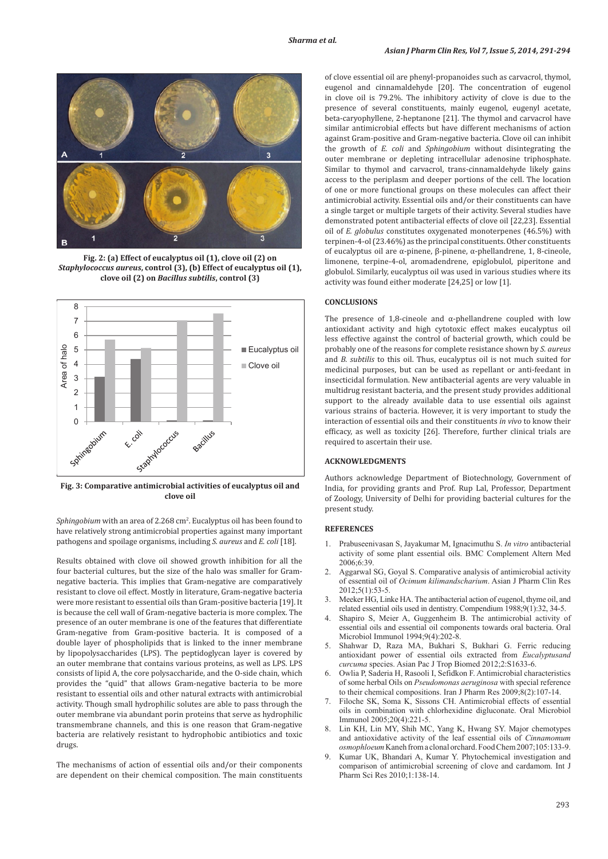

**Fig. 2: (a) Effect of eucalyptus oil (1), clove oil (2) on**  *Staphylococcus aureus***, control (3), (b) Effect of eucalyptus oil (1), clove oil (2) on** *Bacillus subtilis***, control (3)**



**Fig. 3: Comparative antimicrobial activities of eucalyptus oil and clove oil**

Sphingobium with an area of 2.268 cm<sup>2</sup>. Eucalyptus oil has been found to have relatively strong antimicrobial properties against many important pathogens and spoilage organisms, including *S. aureus* and *E. coli* [18].

Results obtained with clove oil showed growth inhibition for all the four bacterial cultures, but the size of the halo was smaller for Gramnegative bacteria. This implies that Gram-negative are comparatively resistant to clove oil effect. Mostly in literature, Gram-negative bacteria were more resistant to essential oils than Gram-positive bacteria [19]. It is because the cell wall of Gram-negative bacteria is more complex. The presence of an outer membrane is one of the features that differentiate Gram-negative from Gram-positive bacteria. It is composed of a double layer of phospholipids that is linked to the inner membrane by lipopolysaccharides (LPS). The peptidoglycan layer is covered by an outer membrane that contains various proteins, as well as LPS. LPS consists of lipid A, the core polysaccharide, and the O-side chain, which provides the "quid" that allows Gram-negative bacteria to be more resistant to essential oils and other natural extracts with antimicrobial activity. Though small hydrophilic solutes are able to pass through the outer membrane via abundant porin proteins that serve as hydrophilic transmembrane channels, and this is one reason that Gram-negative bacteria are relatively resistant to hydrophobic antibiotics and toxic drugs.

The mechanisms of action of essential oils and/or their components are dependent on their chemical composition. The main constituents of clove essential oil are phenyl-propanoides such as carvacrol, thymol, eugenol and cinnamaldehyde [20]. The concentration of eugenol in clove oil is 79.2%. The inhibitory activity of clove is due to the presence of several constituents, mainly eugenol, eugenyl acetate, beta-caryophyllene, 2-heptanone [21]. The thymol and carvacrol have similar antimicrobial effects but have different mechanisms of action against Gram-positive and Gram-negative bacteria. Clove oil can inhibit the growth of *E. coli* and *Sphingobium* without disintegrating the outer membrane or depleting intracellular adenosine triphosphate. Similar to thymol and carvacrol, trans-cinnamaldehyde likely gains access to the periplasm and deeper portions of the cell. The location of one or more functional groups on these molecules can affect their antimicrobial activity. Essential oils and/or their constituents can have a single target or multiple targets of their activity. Several studies have demonstrated potent antibacterial effects of clove oil [22,23]. Essential oil of *E. globulus* constitutes oxygenated monoterpenes (46.5%) with terpinen-4-ol (23.46%) as the principal constituents. Other constituents of eucalyptus oil are α-pinene, β-pinene, α-phellandrene, 1, 8-cineole, limonene, terpine-4-ol, aromadendrene, epiglobulol, piperitone and globulol. Similarly, eucalyptus oil was used in various studies where its activity was found either moderate [24,25] or low [1].

### **CONCLUSIONS**

The presence of 1,8-cineole and  $\alpha$ -phellandrene coupled with low antioxidant activity and high cytotoxic effect makes eucalyptus oil less effective against the control of bacterial growth, which could be probably one of the reasons for complete resistance shown by *S. aureus* and *B. subtilis* to this oil. Thus, eucalyptus oil is not much suited for medicinal purposes, but can be used as repellant or anti-feedant in insecticidal formulation. New antibacterial agents are very valuable in multidrug resistant bacteria, and the present study provides additional support to the already available data to use essential oils against various strains of bacteria. However, it is very important to study the interaction of essential oils and their constituents *in vivo* to know their efficacy, as well as toxicity [26]. Therefore, further clinical trials are required to ascertain their use.

## **ACKNOWLEDGMENTS**

Authors acknowledge Department of Biotechnology, Government of India, for providing grants and Prof. Rup Lal, Professor, Department of Zoology, University of Delhi for providing bacterial cultures for the present study.

### **REFERENCES**

- 1. Prabuseenivasan S, Jayakumar M, Ignacimuthu S. *In vitro* antibacterial activity of some plant essential oils. BMC Complement Altern Med 2006;6:39.
- Aggarwal SG, Goyal S. Comparative analysis of antimicrobial activity of essential oil of *Ocimum kilimandscharium*. Asian J Pharm Clin Res 2012;5(1):53-5.
- Meeker HG, Linke HA. The antibacterial action of eugenol, thyme oil, and related essential oils used in dentistry. Compendium 1988;9(1):32, 34-5.
- 4. Shapiro S, Meier A, Guggenheim B. The antimicrobial activity of essential oils and essential oil components towards oral bacteria. Oral Microbiol Immunol 1994;9(4):202-8.
- 5. Shahwar D, Raza MA, Bukhari S, Bukhari G. Ferric reducing antioxidant power of essential oils extracted from *Eucalyptusand curcuma* species. Asian Pac J Trop Biomed 2012;2:S1633-6.
- 6. Owlia P, Saderia H, Rasooli I, Sefidkon F. Antimicrobial characteristics of some herbal Oils on *Pseudomonas aeruginosa* with special reference to their chemical compositions. Iran J Pharm Res 2009;8(2):107-14.
- Filoche SK, Soma K, Sissons CH. Antimicrobial effects of essential oils in combination with chlorhexidine digluconate. Oral Microbiol Immunol 2005;20(4):221-5.
- Lin KH, Lin MY, Shih MC, Yang K, Hwang SY. Major chemotypes and antioxidative activity of the leaf essential oils of *Cinnamomum osmophloeum* Kaneh from a clonal orchard. Food Chem 2007;105:133-9.
- 9. Kumar UK, Bhandari A, Kumar Y. Phytochemical investigation and comparison of antimicrobial screening of clove and cardamom. Int J Pharm Sci Res 2010;1:138-14.